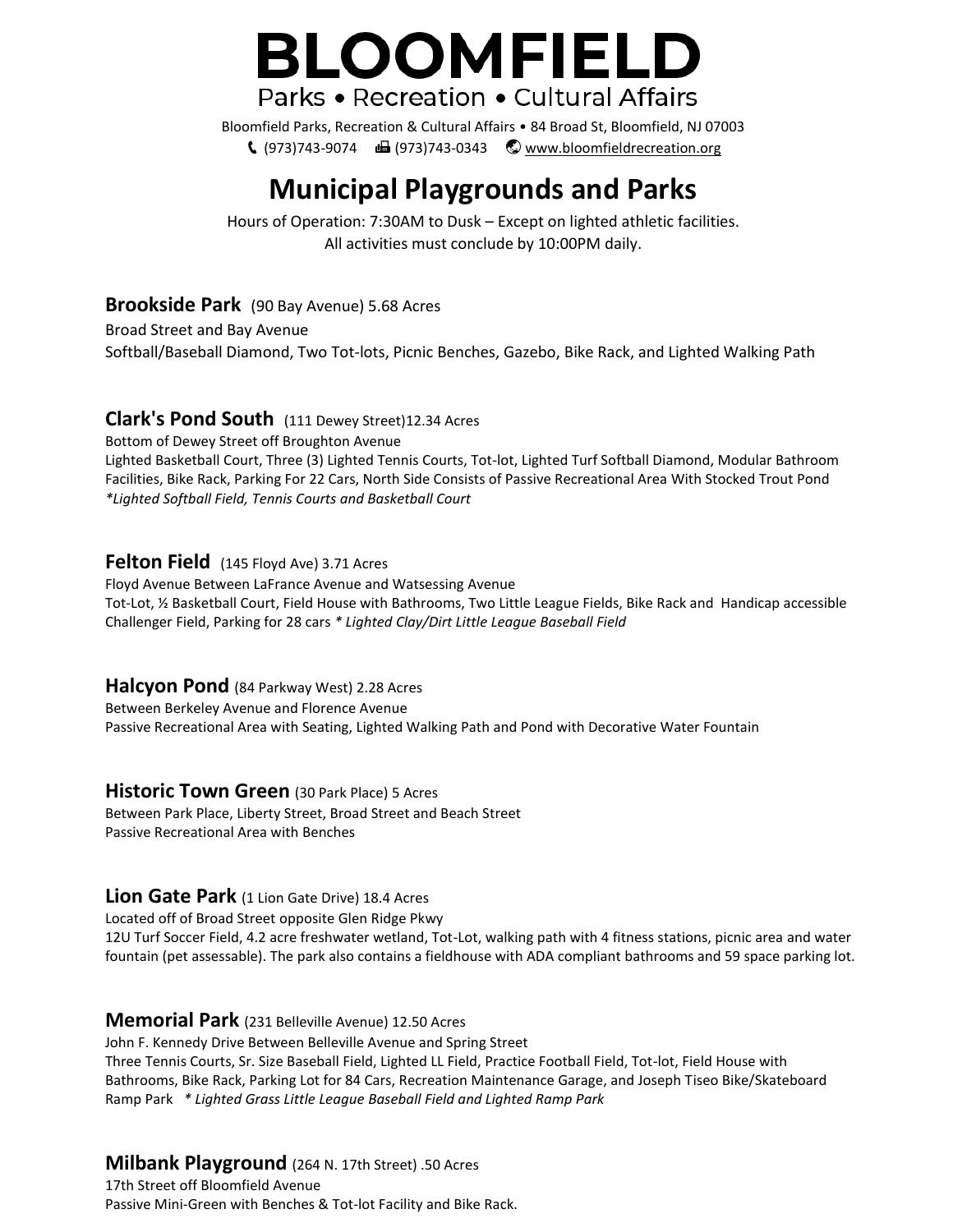# **BLOOMFIELD** Parks • Recreation • Cultural Affairs

Bloomfield Parks, Recreation & Cultural Affairs • 84 Broad St, Bloomfield, NJ 07003  $(973)743-9074$   $\blacksquare$  (973)743-0343  $\heartsuit$  [www.bloomfieldrecreation.org](http://www.bloomfieldrecreation.org/)

# **Municipal Playgrounds and Parks**

Hours of Operation: 7:30AM to Dusk – Except on lighted athletic facilities. All activities must conclude by 10:00PM daily.

#### **Brookside Park** (90 Bay Avenue) 5.68 Acres

Broad Street and Bay Avenue Softball/Baseball Diamond, Two Tot-lots, Picnic Benches, Gazebo, Bike Rack, and Lighted Walking Path

# **Clark's Pond South** (111 Dewey Street)12.34 Acres

Bottom of Dewey Street off Broughton Avenue Lighted Basketball Court, Three (3) Lighted Tennis Courts, Tot-lot, Lighted Turf Softball Diamond, Modular Bathroom Facilities, Bike Rack, Parking For 22 Cars, North Side Consists of Passive Recreational Area With Stocked Trout Pond *\*Lighted Softball Field, Tennis Courts and Basketball Court*

#### **Felton Field** (145 Floyd Ave) 3.71 Acres

Floyd Avenue Between LaFrance Avenue and Watsessing Avenue Tot-Lot, ½ Basketball Court, Field House with Bathrooms, Two Little League Fields, Bike Rack and Handicap accessible Challenger Field, Parking for 28 cars *\* Lighted Clay/Dirt Little League Baseball Field*

# **Halcyon Pond** (84 Parkway West) 2.28 Acres

Between Berkeley Avenue and Florence Avenue Passive Recreational Area with Seating, Lighted Walking Path and Pond with Decorative Water Fountain

# **Historic Town Green** (30 Park Place) 5 Acres

Between Park Place, Liberty Street, Broad Street and Beach Street Passive Recreational Area with Benches

# **Lion Gate Park** (1 Lion Gate Drive) 18.4 Acres

Located off of Broad Street opposite Glen Ridge Pkwy

12U Turf Soccer Field, 4.2 acre freshwater wetland, Tot-Lot, walking path with 4 fitness stations, picnic area and water fountain (pet assessable). The park also contains a fieldhouse with ADA compliant bathrooms and 59 space parking lot.

#### **Memorial Park** (231 Belleville Avenue) 12.50 Acres

John F. Kennedy Drive Between Belleville Avenue and Spring Street Three Tennis Courts, Sr. Size Baseball Field, Lighted LL Field, Practice Football Field, Tot-lot, Field House with Bathrooms, Bike Rack, Parking Lot for 84 Cars, Recreation Maintenance Garage, and Joseph Tiseo Bike/Skateboard Ramp Park *\* Lighted Grass Little League Baseball Field and Lighted Ramp Park*

# **Milbank Playground** (264 N. 17th Street) .50 Acres

17th Street off Bloomfield Avenue Passive Mini-Green with Benches & Tot-lot Facility and Bike Rack.